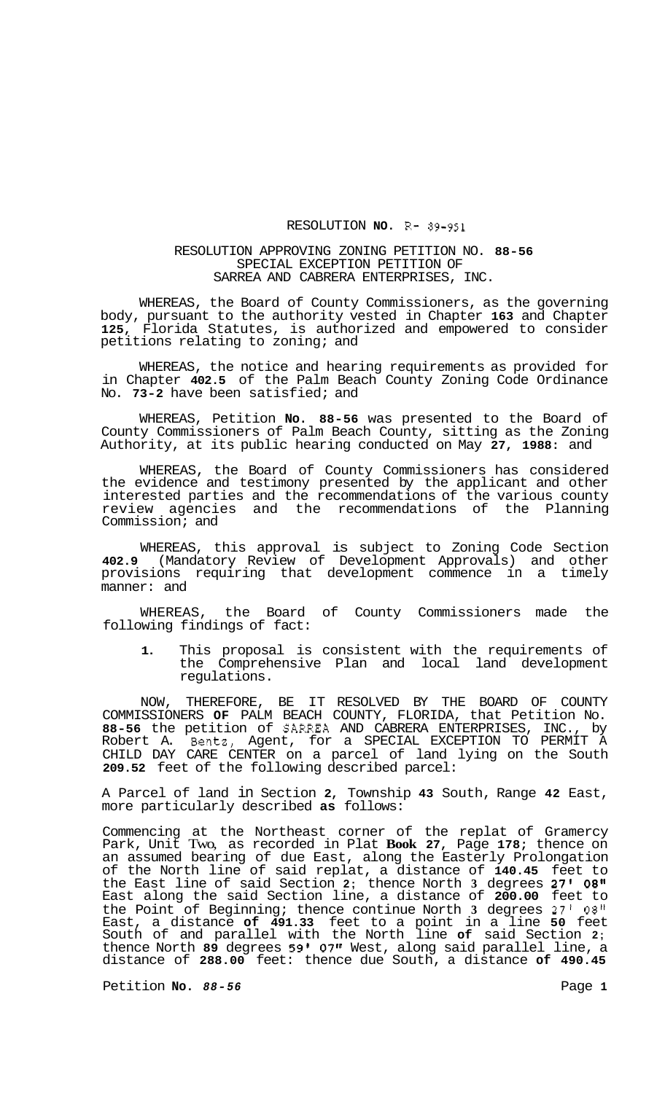## RESOLUTION **NO.**  $R-89-951$

## RESOLUTION APPROVING ZONING PETITION NO. **88-56**  SPECIAL EXCEPTION PETITION OF SARREA AND CABRERA ENTERPRISES, INC.

WHEREAS, the Board of County Commissioners, as the governing body, pursuant to the authority vested in Chapter **163** and Chapter **125,** Florida Statutes, is authorized and empowered to consider petitions relating to zoning; and

WHEREAS, the notice and hearing requirements as provided for in Chapter **402.5** of the Palm Beach County Zoning Code Ordinance No. **73-2** have been satisfied; and

WHEREAS, Petition **No. 88-56** was presented to the Board of County Commissioners of Palm Beach County, sitting as the Zoning Authority, at its public hearing conducted on May **27, 1988:** and

WHEREAS, the Board of County Commissioners has considered the evidence and testimony presented by the applicant and other interested parties and the recommendations of the various county review agencies and the recommendations of the Planning Commission; and

WHEREAS, this approval is subject to Zoning Code Section **402.9** (Mandatory Review of Development Approvals) and other provisions requiring that development commence in a timely manner: and

WHEREAS, the Board of County Commissioners made the following findings of fact:

**1.** This proposal is consistent with the requirements of the Comprehensive Plan and local land development regulations.

NOW, THEREFORE, BE IT RESOLVED BY THE BOARD OF COUNTY COMMISSIONERS **OF** PALM BEACH COUNTY, FLORIDA, that Petition No. **88-56** the petition of SARREA AND CABRERA ENTERPRISES, INC., by Robert A. Bentz, Agent, for a SPECIAL EXCEPTION TO PERMIT A CHILD DAY CARE CENTER on a parcel of land lying on the South **209.52** feet of the following described parcel:

A Parcel of land in Section **2,** Township **43** South, Range **42** East, more particularly described **as** follows:

Commencing at the Northeast corner of the replat of Gramercy Park, Unit Two, as recorded in Plat **Book 27,** Page **178;** thence on an assumed bearing of due East, along the Easterly Prolongation of the North line of said replat, a distance of **140.45** feet to the East line of said Section **2;** thence North **3** degrees **27' 08"**  East along the said Section line, a distance of **200.00** feet to the Point of Beginning; thence continue North **3** degrees **27'** *08"*  East, a distance **of 491.33** feet to a point in a line **50** feet South of and parallel with the North line **of** said Section **2;**  thence North **89** degrees **59' 07"** West, along said parallel line, a distance of **288.00** feet: thence due South, a distance **of 490.45** 

Petition **No.**  $88-56$  Page 1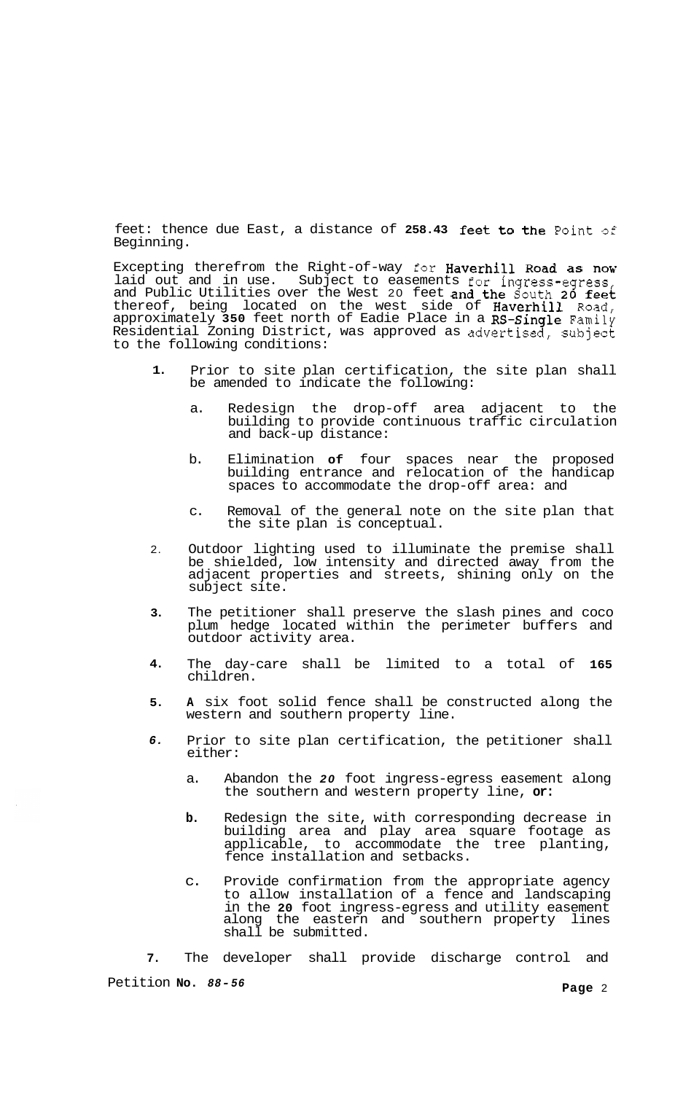feet: thence due East, a distance of **258.43** feet to the Point of Beginning.

Excepting therefrom the Right-of-way for Haverhill Road as now laid out and in use. Subject to easements for ingress-egress, and Public Utilities over the West 20 feet and the South **20** feet thereof, being located on the west side of Haverhill Road, approximately **350** feet north of Eadie Place in a RS-Single Family Residential Zoning District, was approved as advertised, subject to the following conditions:

- **1.**  Prior to site plan certification, the site plan shall be amended to indicate the following:
	- a. Redesign the drop-off area adjacent to the building to provide continuous traffic circulation and back-up distance:
	- b. Elimination **of** four spaces near the proposed building entrance and relocation of the handicap spaces to accommodate the drop-off area: and
	- c. Removal of the general note on the site plan that the site plan is conceptual.
- 2. Outdoor lighting used to illuminate the premise shall be shielded, low intensity and directed away from the adjacent properties and streets, shining only on the subject site.
- **3.**  The petitioner shall preserve the slash pines and coco plum hedge located within the perimeter buffers and outdoor activity area.
- **4.**  The day-care shall be limited to a total of **165**  children.
- **5. A** six foot solid fence shall be constructed along the western and southern property line.
- *6.*  Prior to site plan certification, the petitioner shall either:
	- a. Abandon the *20* foot ingress-egress easement along the southern and western property line, **or:**
	- **b.** Redesign the site, with corresponding decrease in building area and play area square footage as applicable, to accommodate the tree planting, fence installation and setbacks.
	- c. Provide confirmation from the appropriate agency to allow installation of a fence and landscaping in the **20** foot ingress-egress and utility easement along the eastern and southern property lines shall be submitted.

**7.**  The developer shall provide discharge control and

Petition **No.** *88-56* **Page** 2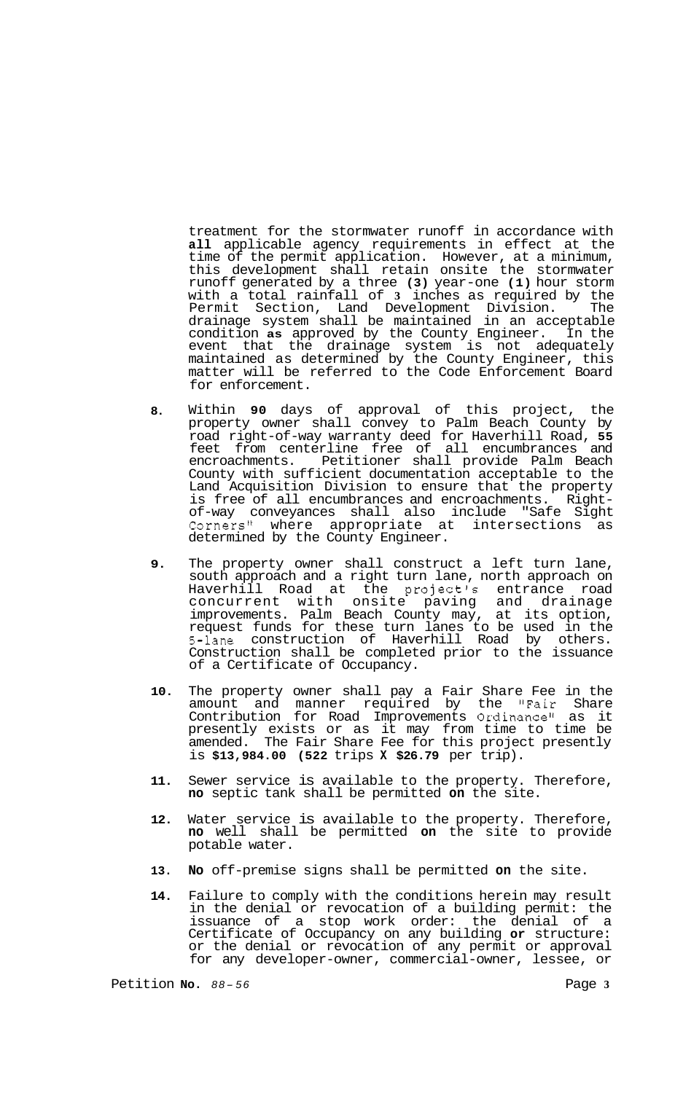treatment for the stormwater runoff in accordance with **all** applicable agency requirements in effect at the time of the permit application. However, at a minimum, this development shall retain onsite the stormwater runoff generated by a three **(3)** year-one **(1)** hour storm with a total rainfall of **3** inches as required by the Permit Section, Land Development Division. The drainage system shall be maintained in an acceptable condition **as** approved by the County Engineer. In the event that the drainage system is not adequately maintained as determined by the County Engineer, this matter will be referred to the Code Enforcement Board for enforcement.

- **8.**  Within **90** days of approval of this project, the property owner shall convey to Palm Beach County by road right-of-way warranty deed for Haverhill Road, **55**  feet from centerline free of all encumbrances and encroachments. Petitioner shall provide Palm Beach County with sufficient documentation acceptable to the Land Acquisition Division to ensure that the property<br>is free of all encumbrances and encroachments. Rightof-way conveyances shall also include "Safe Sight<br>Corners" where appropriate at intersections as Corners" where appropriate at determined by the County Engineer.
- **9.**  The property owner shall construct a left turn lane, south approach and a right turn lane, north approach on Haverhill Road at the project's entrance road concurrent with onsite paving and drainage improvements. Palm Beach County may, at its option, request funds for these turn lanes to be used in the 5-lane construction of Haverhill Road by others. Construction shall be completed prior to the issuance of a Certificate of Occupancy.
- **10.**  The property owner shall pay a Fair Share Fee in the amount and manner required by the "Fair Share Contribution for Road Improvements Ordinance" as it presently exists or as it may from time to time be amended. The Fair Share Fee for this project presently is **\$13,984.00 (522** trips **X \$26.79** per trip).
- **11.**  Sewer service is available to the property. Therefore, **no** septic tank shall be permitted **on** the site.
- **12.**  Water service is available to the property. Therefore, **no** well shall be permitted **on** the site to provide potable water.
- **13. No** off-premise signs shall be permitted **on** the site.
- **14.**  Failure to comply with the conditions herein may result in the denial or revocation of a building permit: the issuance of a stop work order: the denial of a Certificate of Occupancy on any building **or** structure: or the denial or revocation of any permit or approval for any developer-owner, commercial-owner, lessee, or